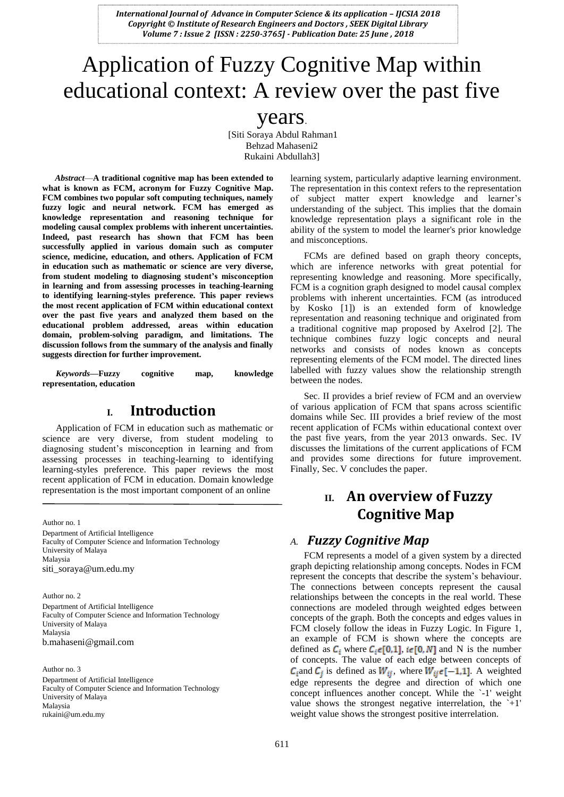# Application of Fuzzy Cognitive Map within educational context: A review over the past five

## years.

[Siti Soraya Abdul Rahman1 Behzad Mahaseni2 Rukaini Abdullah3]

*Abstract*—**A traditional cognitive map has been extended to what is known as FCM, acronym for Fuzzy Cognitive Map. FCM combines two popular soft computing techniques, namely fuzzy logic and neural network. FCM has emerged as knowledge representation and reasoning technique for modeling causal complex problems with inherent uncertainties. Indeed, past research has shown that FCM has been successfully applied in various domain such as computer science, medicine, education, and others. Application of FCM in education such as mathematic or science are very diverse, from student modeling to diagnosing student's misconception in learning and from assessing processes in teaching-learning to identifying learning-styles preference. This paper reviews the most recent application of FCM within educational context over the past five years and analyzed them based on the educational problem addressed, areas within education domain, problem-solving paradigm, and limitations. The discussion follows from the summary of the analysis and finally suggests direction for further improvement.**

*Keywords—***Fuzzy cognitive map, knowledge representation, education**

## **I. Introduction**

Application of FCM in education such as mathematic or science are very diverse, from student modeling to diagnosing student's misconception in learning and from assessing processes in teaching-learning to identifying learning-styles preference. This paper reviews the most recent application of FCM in education. Domain knowledge representation is the most important component of an online

Author no. 1

Department of Artificial Intelligence Faculty of Computer Science and Information Technology University of Malaya Malaysia siti\_soraya@um.edu.my

Author no. 2 Department of Artificial Intelligence Faculty of Computer Science and Information Technology University of Malaya Malaysia b.mahaseni@gmail.com

Author no. 3 Department of Artificial Intelligence Faculty of Computer Science and Information Technology University of Malaya Malaysia rukaini@um.edu.my

learning system, particularly adaptive learning environment. The representation in this context refers to the representation of subject matter expert knowledge and learner's understanding of the subject. This implies that the domain knowledge representation plays a significant role in the ability of the system to model the learner's prior knowledge and misconceptions.

FCMs are defined based on graph theory concepts, which are inference networks with great potential for representing knowledge and reasoning. More specifically, FCM is a cognition graph designed to model causal complex problems with inherent uncertainties. FCM (as introduced by Kosko [1]) is an extended form of knowledge representation and reasoning technique and originated from a traditional cognitive map proposed by Axelrod [2]. The technique combines fuzzy logic concepts and neural networks and consists of nodes known as concepts representing elements of the FCM model. The directed lines labelled with fuzzy values show the relationship strength between the nodes.

Sec. II provides a brief review of FCM and an overview of various application of FCM that spans across scientific domains while Sec. III provides a brief review of the most recent application of FCMs within educational context over the past five years, from the year 2013 onwards. Sec. IV discusses the limitations of the current applications of FCM and provides some directions for future improvement. Finally, Sec. V concludes the paper.

# **II. An overview of Fuzzy Cognitive Map**

#### *A. Fuzzy Cognitive Map*

FCM represents a model of a given system by a directed graph depicting relationship among concepts. Nodes in FCM represent the concepts that describe the system's behaviour. The connections between concepts represent the causal relationships between the concepts in the real world. These connections are modeled through weighted edges between concepts of the graph. Both the concepts and edges values in FCM closely follow the ideas in Fuzzy Logic. In Figure 1, an example of FCM is shown where the concepts are defined as  $C_i$  where  $C_i \in [0,1]$ ,  $i \in [0,N]$  and N is the number of concepts. The value of each edge between concepts of  $C_i$  and  $C_j$  is defined as  $W_{ij}$ , where  $W_{ij} \in [-1,1]$ . A weighted edge represents the degree and direction of which one concept influences another concept. While the `-1' weight value shows the strongest negative interrelation, the  $+1$ ' weight value shows the strongest positive interrelation.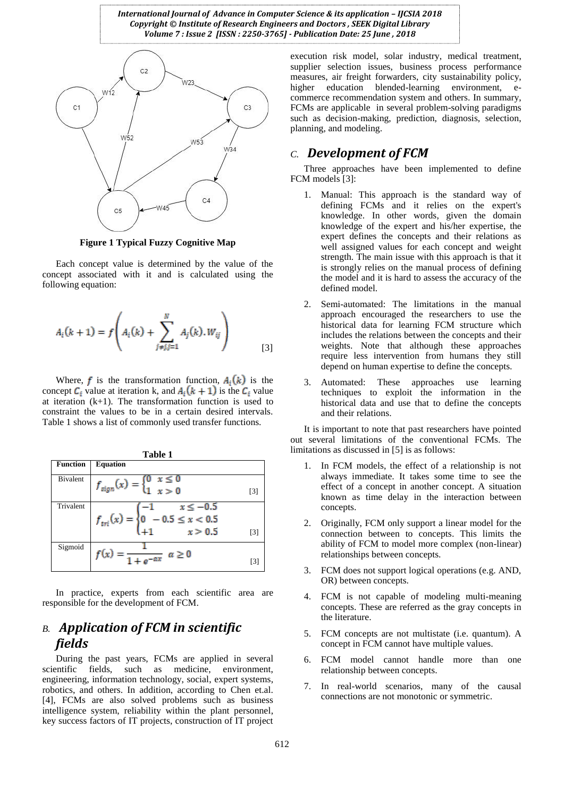

**Figure 1 Typical Fuzzy Cognitive Map**

Each concept value is determined by the value of the concept associated with it and is calculated using the following equation:

$$
A_i(k+1) = f\left(A_i(k) + \sum_{j \neq j, j=1}^{N} A_j(k).W_{ij}\right)
$$
 [3]

Where, f is the transformation function,  $A_i(k)$  is the concept  $C_i$  value at iteration k, and  $A_i(k + 1)$  is the  $C_i$  value at iteration  $(k+1)$ . The transformation function is used to constraint the values to be in a certain desired intervals. Table 1 shows a list of commonly used transfer functions.

| Table 1         |                                                                                                  |                   |  |  |  |  |
|-----------------|--------------------------------------------------------------------------------------------------|-------------------|--|--|--|--|
| <b>Function</b> | <b>Equation</b>                                                                                  |                   |  |  |  |  |
| Bivalent        | $f_{sign}(x) = \begin{cases} 0 & x \leq 0 \\ 1 & x > 0 \end{cases}$                              | [3]               |  |  |  |  |
| Trivalent       | $f_{tri}(x) = \begin{cases} -1 & x \le -0.5 \\ 0 & -0.5 \le x < 0.5 \\ +1 & x > 0.5 \end{cases}$ | $\lceil 3 \rceil$ |  |  |  |  |
| Sigmoid         | $\frac{1}{1 + \alpha - \alpha x}$ $\alpha \ge 0$                                                 | [3                |  |  |  |  |

In practice, experts from each scientific area are responsible for the development of FCM.

### *B. Application of FCM in scientific fields*

During the past years, FCMs are applied in several scientific fields, such as medicine, environment, engineering, information technology, social, expert systems, robotics, and others. In addition, according to Chen et.al. [4], FCMs are also solved problems such as business intelligence system, reliability within the plant personnel, key success factors of IT projects, construction of IT project execution risk model, solar industry, medical treatment, supplier selection issues, business process performance measures, air freight forwarders, city sustainability policy, higher education blended-learning environment, ecommerce recommendation system and others. In summary, FCMs are applicable in several problem-solving paradigms such as decision-making, prediction, diagnosis, selection, planning, and modeling.

#### *C. Development of FCM*

Three approaches have been implemented to define FCM models [3]:

- 1. Manual: This approach is the standard way of defining FCMs and it relies on the expert's knowledge. In other words, given the domain knowledge of the expert and his/her expertise, the expert defines the concepts and their relations as well assigned values for each concept and weight strength. The main issue with this approach is that it is strongly relies on the manual process of defining the model and it is hard to assess the accuracy of the defined model.
- 2. Semi-automated: The limitations in the manual approach encouraged the researchers to use the historical data for learning FCM structure which includes the relations between the concepts and their weights. Note that although these approaches require less intervention from humans they still depend on human expertise to define the concepts.
- Automated: These approaches use learning techniques to exploit the information in the historical data and use that to define the concepts and their relations.

It is important to note that past researchers have pointed out several limitations of the conventional FCMs. The limitations as discussed in [5] is as follows:

- 1. In FCM models, the effect of a relationship is not always immediate. It takes some time to see the effect of a concept in another concept. A situation known as time delay in the interaction between concepts.
- 2. Originally, FCM only support a linear model for the connection between to concepts. This limits the ability of FCM to model more complex (non-linear) relationships between concepts.
- 3. FCM does not support logical operations (e.g. AND, OR) between concepts.
- 4. FCM is not capable of modeling multi-meaning concepts. These are referred as the gray concepts in the literature.
- 5. FCM concepts are not multistate (i.e. quantum). A concept in FCM cannot have multiple values.
- 6. FCM model cannot handle more than one relationship between concepts.
- 7. In real-world scenarios, many of the causal connections are not monotonic or symmetric.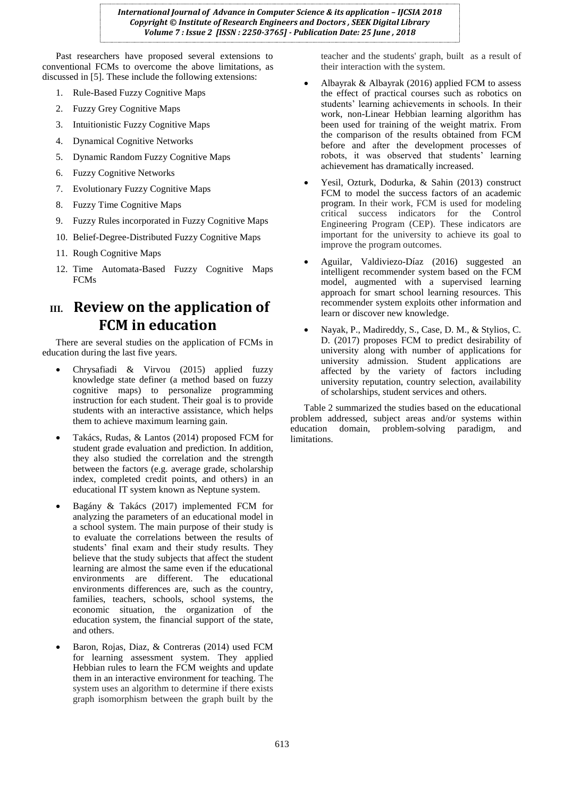Past researchers have proposed several extensions to conventional FCMs to overcome the above limitations, as discussed in [5]. These include the following extensions:

- 1. Rule-Based Fuzzy Cognitive Maps
- 2. Fuzzy Grey Cognitive Maps
- 3. Intuitionistic Fuzzy Cognitive Maps
- 4. Dynamical Cognitive Networks
- 5. Dynamic Random Fuzzy Cognitive Maps
- 6. Fuzzy Cognitive Networks
- 7. Evolutionary Fuzzy Cognitive Maps
- 8. Fuzzy Time Cognitive Maps
- 9. Fuzzy Rules incorporated in Fuzzy Cognitive Maps
- 10. Belief-Degree-Distributed Fuzzy Cognitive Maps
- 11. Rough Cognitive Maps
- 12. Time Automata-Based Fuzzy Cognitive Maps FCMs

# **III. Review on the application of FCM in education**

There are several studies on the application of FCMs in education during the last five years.

- Chrysafiadi & Virvou (2015) applied fuzzy knowledge state definer (a method based on fuzzy cognitive maps) to personalize programming instruction for each student. Their goal is to provide students with an interactive assistance, which helps them to achieve maximum learning gain.
- Takács, Rudas, & Lantos (2014) proposed FCM for student grade evaluation and prediction. In addition, they also studied the correlation and the strength between the factors (e.g. average grade, scholarship index, completed credit points, and others) in an educational IT system known as Neptune system.
- Bagány & Takács (2017) implemented FCM for analyzing the parameters of an educational model in a school system. The main purpose of their study is to evaluate the correlations between the results of students' final exam and their study results. They believe that the study subjects that affect the student learning are almost the same even if the educational environments are different. The educational environments differences are, such as the country, families, teachers, schools, school systems, the economic situation, the organization of the education system, the financial support of the state, and others.
- Baron, Rojas, Diaz, & Contreras (2014) used FCM for learning assessment system. They applied Hebbian rules to learn the FCM weights and update them in an interactive environment for teaching. The system uses an algorithm to determine if there exists graph isomorphism between the graph built by the

teacher and the students' graph, built as a result of their interaction with the system.

- Albayrak & Albayrak (2016) applied FCM to assess the effect of practical courses such as robotics on students' learning achievements in schools. In their work, non-Linear Hebbian learning algorithm has been used for training of the weight matrix. From the comparison of the results obtained from FCM before and after the development processes of robots, it was observed that students' learning achievement has dramatically increased.
- Yesil, Ozturk, Dodurka, & Sahin (2013) construct FCM to model the success factors of an academic program. In their work, FCM is used for modeling critical success indicators for the Control Engineering Program (CEP). These indicators are important for the university to achieve its goal to improve the program outcomes.
- Aguilar, Valdiviezo-Díaz (2016) suggested an intelligent recommender system based on the FCM model, augmented with a supervised learning approach for smart school learning resources. This recommender system exploits other information and learn or discover new knowledge.
- Nayak, P., Madireddy, S., Case, D. M., & Stylios, C. D. (2017) proposes FCM to predict desirability of university along with number of applications for university admission. Student applications are affected by the variety of factors including university reputation, country selection, availability of scholarships, student services and others.

Table 2 summarized the studies based on the educational problem addressed, subject areas and/or systems within domain, problem-solving paradigm, and limitations.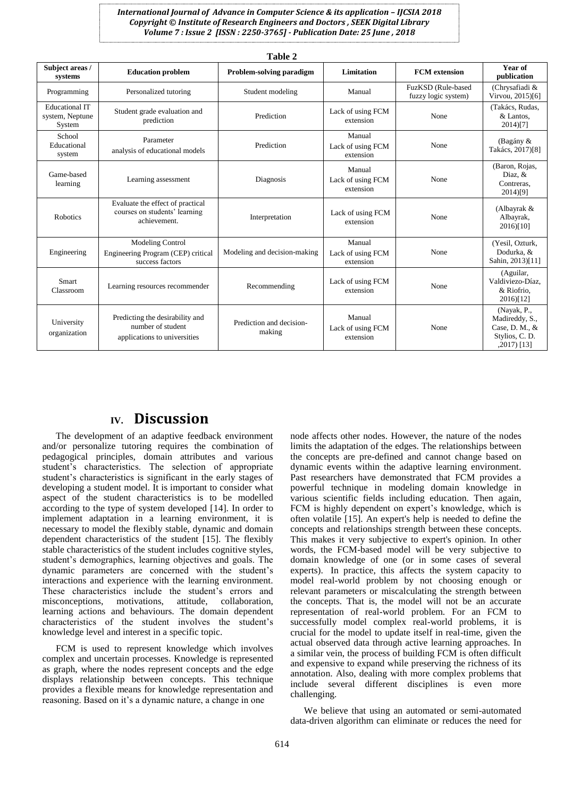| Subject areas /<br>systems                         | <b>Education problem</b>                                                             | Problem-solving paradigm           | Limitation                               | <b>FCM</b> extension                      | Year of<br>publication                                                           |
|----------------------------------------------------|--------------------------------------------------------------------------------------|------------------------------------|------------------------------------------|-------------------------------------------|----------------------------------------------------------------------------------|
| Programming                                        | Personalized tutoring                                                                | Student modeling                   | Manual                                   | FuzKSD (Rule-based<br>fuzzy logic system) | (Chrysafiadi &<br>Virvou, 2015)[6]                                               |
| <b>Educational IT</b><br>system, Neptune<br>System | Student grade evaluation and<br>prediction                                           | Prediction                         | Lack of using FCM<br>extension           | None                                      | (Takács, Rudas,<br>& Lantos.<br>2014)[7]                                         |
| School<br>Educational<br>system                    | Parameter<br>analysis of educational models                                          | Prediction                         | Manual<br>Lack of using FCM<br>extension | None                                      | (Bagány &<br>Takács, 2017)[8]                                                    |
| Game-based<br>learning                             | Learning assessment                                                                  | Diagnosis                          | Manual<br>Lack of using FCM<br>extension | None                                      | (Baron, Rojas,<br>Diaz, &<br>Contreras.<br>2014)[9]                              |
| <b>Robotics</b>                                    | Evaluate the effect of practical<br>courses on students' learning<br>achievement.    | Interpretation                     | Lack of using FCM<br>extension           | None                                      | (Albayrak &<br>Albayrak,<br>$2016$ [10]                                          |
| Engineering                                        | <b>Modeling Control</b><br>Engineering Program (CEP) critical<br>success factors     | Modeling and decision-making       | Manual<br>Lack of using FCM<br>extension | None                                      | (Yesil, Ozturk,<br>Dodurka, &<br>Sahin, 2013)[11]                                |
| <b>Smart</b><br>Classroom                          | Learning resources recommender                                                       | Recommending                       | Lack of using FCM<br>extension           | None                                      | (Aguilar,<br>Valdiviezo-Díaz.<br>& Riofrio.<br>$2016$ [12]                       |
| University<br>organization                         | Predicting the desirability and<br>number of student<br>applications to universities | Prediction and decision-<br>making | Manual<br>Lack of using FCM<br>extension | None                                      | (Nayak, P.,<br>Madireddy, S.,<br>Case, D. M., &<br>Stylios, C. D.<br>,2017) [13] |

#### **IV. Discussion**

The development of an adaptive feedback environment and/or personalize tutoring requires the combination of pedagogical principles, domain attributes and various student's characteristics. The selection of appropriate student's characteristics is significant in the early stages of developing a student model. It is important to consider what aspect of the student characteristics is to be modelled according to the type of system developed [14]. In order to implement adaptation in a learning environment, it is necessary to model the flexibly stable, dynamic and domain dependent characteristics of the student [15]. The flexibly stable characteristics of the student includes cognitive styles, student's demographics, learning objectives and goals. The dynamic parameters are concerned with the student's interactions and experience with the learning environment. These characteristics include the student's errors and misconceptions, motivations, attitude, collaboration, learning actions and behaviours. The domain dependent characteristics of the student involves the student's knowledge level and interest in a specific topic.

FCM is used to represent knowledge which involves complex and uncertain processes. Knowledge is represented as graph, where the nodes represent concepts and the edge displays relationship between concepts. This technique provides a flexible means for knowledge representation and reasoning. Based on it's a dynamic nature, a change in one

node affects other nodes. However, the nature of the nodes limits the adaptation of the edges. The relationships between the concepts are pre-defined and cannot change based on dynamic events within the adaptive learning environment. Past researchers have demonstrated that FCM provides a powerful technique in modeling domain knowledge in various scientific fields including education. Then again, FCM is highly dependent on expert's knowledge, which is often volatile [15]. An expert's help is needed to define the concepts and relationships strength between these concepts. This makes it very subjective to expert's opinion. In other words, the FCM-based model will be very subjective to domain knowledge of one (or in some cases of several experts). In practice, this affects the system capacity to model real-world problem by not choosing enough or relevant parameters or miscalculating the strength between the concepts. That is, the model will not be an accurate representation of real-world problem. For an FCM to successfully model complex real-world problems, it is crucial for the model to update itself in real-time, given the actual observed data through active learning approaches. In a similar vein, the process of building FCM is often difficult and expensive to expand while preserving the richness of its annotation. Also, dealing with more complex problems that include several different disciplines is even more challenging.

We believe that using an automated or semi-automated data-driven algorithm can eliminate or reduces the need for